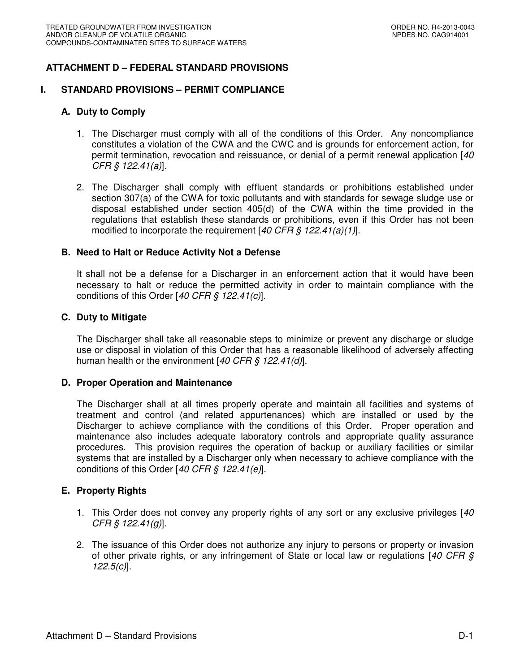# **ATTACHMENT D – FEDERAL STANDARD PROVISIONS**

#### **I. STANDARD PROVISIONS – PERMIT COMPLIANCE**

#### **A. Duty to Comply**

- 1. The Discharger must comply with all of the conditions of this Order. Any noncompliance constitutes a violation of the CWA and the CWC and is grounds for enforcement action, for permit termination, revocation and reissuance, or denial of a permit renewal application [40 CFR § 122.41(a)].
- 2. The Discharger shall comply with effluent standards or prohibitions established under section 307(a) of the CWA for toxic pollutants and with standards for sewage sludge use or disposal established under section 405(d) of the CWA within the time provided in the regulations that establish these standards or prohibitions, even if this Order has not been modified to incorporate the requirement  $[40 \text{ CFR} \text{ s} 122.41(a)(1)].$

#### **B. Need to Halt or Reduce Activity Not a Defense**

It shall not be a defense for a Discharger in an enforcement action that it would have been necessary to halt or reduce the permitted activity in order to maintain compliance with the conditions of this Order [40 CFR § 122.41(c)].

#### **C. Duty to Mitigate**

The Discharger shall take all reasonable steps to minimize or prevent any discharge or sludge use or disposal in violation of this Order that has a reasonable likelihood of adversely affecting human health or the environment  $[40 CFR \, \xi \, 122.41(d)].$ 

#### **D. Proper Operation and Maintenance**

The Discharger shall at all times properly operate and maintain all facilities and systems of treatment and control (and related appurtenances) which are installed or used by the Discharger to achieve compliance with the conditions of this Order. Proper operation and maintenance also includes adequate laboratory controls and appropriate quality assurance procedures. This provision requires the operation of backup or auxiliary facilities or similar systems that are installed by a Discharger only when necessary to achieve compliance with the conditions of this Order [40 CFR  $\frac{6}{5}$  122.41(e)].

#### **E. Property Rights**

- 1. This Order does not convey any property rights of any sort or any exclusive privileges [40] CFR § 122.41(g)].
- 2. The issuance of this Order does not authorize any injury to persons or property or invasion of other private rights, or any infringement of State or local law or regulations  $[40 CFR S]$  $122.5(c)$ ].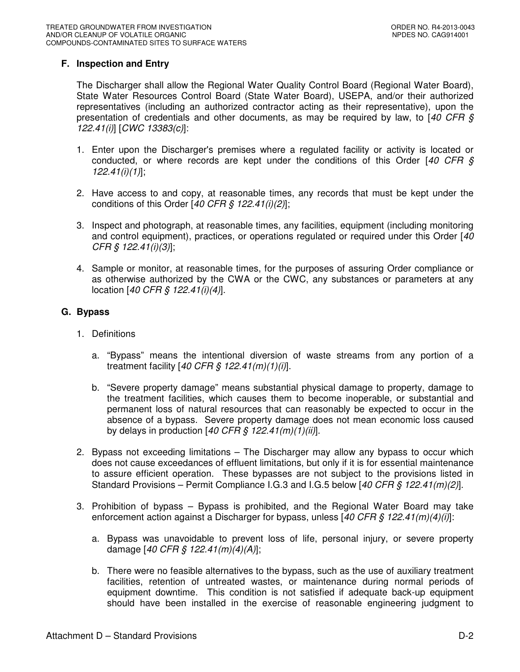# **F. Inspection and Entry**

The Discharger shall allow the Regional Water Quality Control Board (Regional Water Board), State Water Resources Control Board (State Water Board), USEPA, and/or their authorized representatives (including an authorized contractor acting as their representative), upon the presentation of credentials and other documents, as may be required by law, to  $[40 \text{ CFR } \text{S}$ 122.41(i)] [CWC 13383(c)]:

- 1. Enter upon the Discharger's premises where a regulated facility or activity is located or conducted, or where records are kept under the conditions of this Order  $[40 \text{ CFR } \text{S}]$  $122.41(i)(1)$ ];
- 2. Have access to and copy, at reasonable times, any records that must be kept under the conditions of this Order [40 CFR  $\hat{S}$  122.41(i)(2)];
- 3. Inspect and photograph, at reasonable times, any facilities, equipment (including monitoring and control equipment), practices, or operations regulated or required under this Order [40] CFR § 122.41(i)(3)];
- 4. Sample or monitor, at reasonable times, for the purposes of assuring Order compliance or as otherwise authorized by the CWA or the CWC, any substances or parameters at any location [40 CFR § 122.41(i)(4)].

## **G. Bypass**

- 1. Definitions
	- a. "Bypass" means the intentional diversion of waste streams from any portion of a treatment facility  $[40 \text{ CFR}$  \$  $122.41(m)(1)(i)]$ .
	- b. "Severe property damage" means substantial physical damage to property, damage to the treatment facilities, which causes them to become inoperable, or substantial and permanent loss of natural resources that can reasonably be expected to occur in the absence of a bypass. Severe property damage does not mean economic loss caused by delays in production  $[40 \text{ CFR}$  \$  $122.41 \text{ (m)}(1)$ (ii)].
- 2. Bypass not exceeding limitations The Discharger may allow any bypass to occur which does not cause exceedances of effluent limitations, but only if it is for essential maintenance to assure efficient operation. These bypasses are not subject to the provisions listed in Standard Provisions – Permit Compliance I.G.3 and I.G.5 below  $[40 CFR \S 122.41(m)(2)].$
- 3. Prohibition of bypass Bypass is prohibited, and the Regional Water Board may take enforcement action against a Discharger for bypass, unless [40 CFR  $\frac{1}{2}$  122.41(m)(4)(i)]:
	- a. Bypass was unavoidable to prevent loss of life, personal injury, or severe property damage [40 CFR § 122.41(m)(4)(A)];
	- b. There were no feasible alternatives to the bypass, such as the use of auxiliary treatment facilities, retention of untreated wastes, or maintenance during normal periods of equipment downtime. This condition is not satisfied if adequate back-up equipment should have been installed in the exercise of reasonable engineering judgment to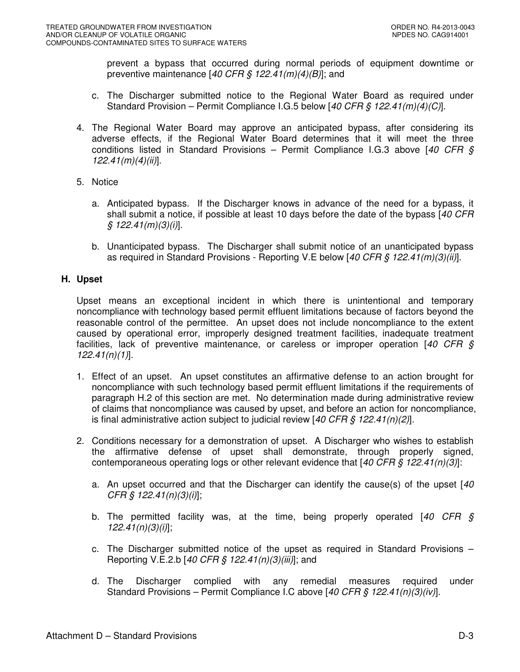prevent a bypass that occurred during normal periods of equipment downtime or preventive maintenance [40 CFR § 122.41 $(m)(4)(B)$ ]; and

- c. The Discharger submitted notice to the Regional Water Board as required under Standard Provision – Permit Compliance I.G.5 below [40 CFR § 122.41(m)(4)(C)].
- 4. The Regional Water Board may approve an anticipated bypass, after considering its adverse effects, if the Regional Water Board determines that it will meet the three conditions listed in Standard Provisions – Permit Compliance I.G.3 above [40 CFR  $\hat{S}$  $122.41(m)(4)(ii)$ ].
- 5. Notice
	- a. Anticipated bypass. If the Discharger knows in advance of the need for a bypass, it shall submit a notice, if possible at least 10 days before the date of the bypass [40 CFR]  $§ 122.41(m)(3)(i)].$
	- b. Unanticipated bypass. The Discharger shall submit notice of an unanticipated bypass as required in Standard Provisions - Reporting V.E below [40 CFR  $\zeta$  122.41(m)(3)(ii)].

## **H. Upset**

Upset means an exceptional incident in which there is unintentional and temporary noncompliance with technology based permit effluent limitations because of factors beyond the reasonable control of the permittee. An upset does not include noncompliance to the extent caused by operational error, improperly designed treatment facilities, inadequate treatment facilities, lack of preventive maintenance, or careless or improper operation  $[40 \text{ CFR } \text{S}]$  $122.41(n)(1)$ ].

- 1. Effect of an upset. An upset constitutes an affirmative defense to an action brought for noncompliance with such technology based permit effluent limitations if the requirements of paragraph H.2 of this section are met. No determination made during administrative review of claims that noncompliance was caused by upset, and before an action for noncompliance, is final administrative action subject to judicial review  $[40 CFR \frac{S}{A} 122.41(n)(2)]$ .
- 2. Conditions necessary for a demonstration of upset. A Discharger who wishes to establish the affirmative defense of upset shall demonstrate, through properly signed, contemporaneous operating logs or other relevant evidence that  $[40 CFR \, \xi \, 122.41(n)(3)]$ :
	- a. An upset occurred and that the Discharger can identify the cause(s) of the upset  $[40]$  $CFR \, \S \, 122.41(n)(3)(i)$ ;
	- b. The permitted facility was, at the time, being properly operated  $[40 \text{ CFR} \text{ s}]$  $122.41(n)(3)(i)$ ;
	- c. The Discharger submitted notice of the upset as required in Standard Provisions Reporting V.E.2.b [40 CFR  $\frac{6}{5}$  122.41(n)(3)(iii)]; and
	- d. The Discharger complied with any remedial measures required under Standard Provisions – Permit Compliance I.C above [40 CFR § 122.41(n)(3)(iv)].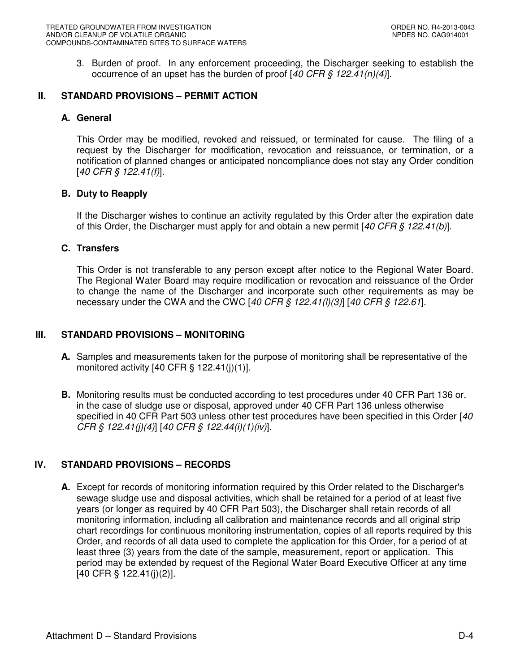3. Burden of proof. In any enforcement proceeding, the Discharger seeking to establish the occurrence of an upset has the burden of proof  $[40 \text{ CFR} \text{ } \text{\textless} 122.41(n)(4)].$ 

## **II. STANDARD PROVISIONS – PERMIT ACTION**

## **A. General**

This Order may be modified, revoked and reissued, or terminated for cause. The filing of a request by the Discharger for modification, revocation and reissuance, or termination, or a notification of planned changes or anticipated noncompliance does not stay any Order condition [40 CFR § 122.41(f)].

# **B. Duty to Reapply**

If the Discharger wishes to continue an activity regulated by this Order after the expiration date of this Order, the Discharger must apply for and obtain a new permit [40 CFR  $\frac{6}{7}$  122.41(b)].

## **C. Transfers**

This Order is not transferable to any person except after notice to the Regional Water Board. The Regional Water Board may require modification or revocation and reissuance of the Order to change the name of the Discharger and incorporate such other requirements as may be necessary under the CWA and the CWC [40 CFR  $\S$  122.41(*l*)(3)] [40 CFR  $\S$  122.61].

# **III. STANDARD PROVISIONS – MONITORING**

- **A.** Samples and measurements taken for the purpose of monitoring shall be representative of the monitored activity  $[40 \text{ CFR } \S 122.41(j)(1)].$
- **B.** Monitoring results must be conducted according to test procedures under 40 CFR Part 136 or, in the case of sludge use or disposal, approved under 40 CFR Part 136 unless otherwise specified in 40 CFR Part 503 unless other test procedures have been specified in this Order [40] CFR § 122.41(j)(4)] [40 CFR § 122.44(i)(1)(iv)].

# **IV. STANDARD PROVISIONS – RECORDS**

**A.** Except for records of monitoring information required by this Order related to the Discharger's sewage sludge use and disposal activities, which shall be retained for a period of at least five years (or longer as required by 40 CFR Part 503), the Discharger shall retain records of all monitoring information, including all calibration and maintenance records and all original strip chart recordings for continuous monitoring instrumentation, copies of all reports required by this Order, and records of all data used to complete the application for this Order, for a period of at least three (3) years from the date of the sample, measurement, report or application. This period may be extended by request of the Regional Water Board Executive Officer at any time [40 CFR § 122.41(j)(2)].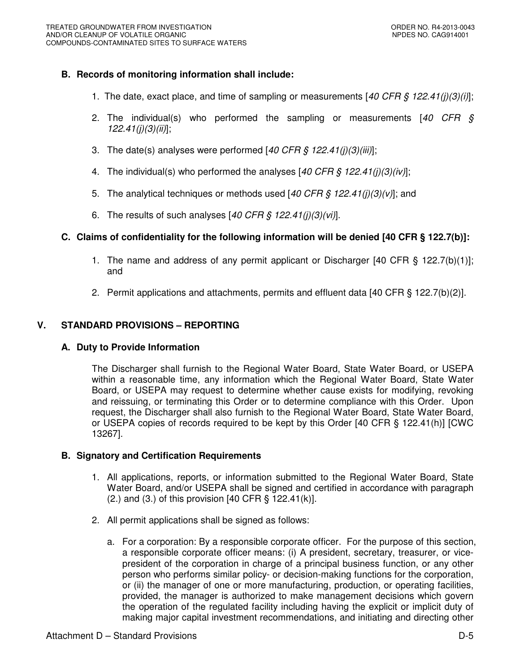## **B. Records of monitoring information shall include:**

- 1. The date, exact place, and time of sampling or measurements [40 CFR  $\zeta$  122.41(j)(3)(i)];
- 2. The individual(s) who performed the sampling or measurements  $[40 \text{ CFR} \text{ s}]$  $122.41(j)(3)(ii)$ ;
- 3. The date(s) analyses were performed  $[40 \text{ CFR} \text{ s} 122.41 \text{ (i)}(3)(\text{iii})]$ ;
- 4. The individual(s) who performed the analyses [40 CFR  $\frac{1}{2}$  122.41(j)(3)(iv)];
- 5. The analytical techniques or methods used [40 CFR § 122.41(j)(3)(v)]; and
- 6. The results of such analyses  $[40 \text{ CFR} \text{ } \text{\textit{S}} \text{ } 122.41(j)(3)(vi)].$

## **C. Claims of confidentiality for the following information will be denied [40 CFR § 122.7(b)]:**

- 1. The name and address of any permit applicant or Discharger [40 CFR § 122.7(b)(1)]; and
- 2. Permit applications and attachments, permits and effluent data [40 CFR § 122.7(b)(2)].

## **V. STANDARD PROVISIONS – REPORTING**

#### **A. Duty to Provide Information**

The Discharger shall furnish to the Regional Water Board, State Water Board, or USEPA within a reasonable time, any information which the Regional Water Board, State Water Board, or USEPA may request to determine whether cause exists for modifying, revoking and reissuing, or terminating this Order or to determine compliance with this Order. Upon request, the Discharger shall also furnish to the Regional Water Board, State Water Board, or USEPA copies of records required to be kept by this Order [40 CFR § 122.41(h)] [CWC 13267].

#### **B. Signatory and Certification Requirements**

- 1. All applications, reports, or information submitted to the Regional Water Board, State Water Board, and/or USEPA shall be signed and certified in accordance with paragraph  $(2.)$  and  $(3.)$  of this provision  $[40 \text{ CFR } \frac{6}{3} 122.41(k)].$
- 2. All permit applications shall be signed as follows:
	- a. For a corporation: By a responsible corporate officer. For the purpose of this section, a responsible corporate officer means: (i) A president, secretary, treasurer, or vicepresident of the corporation in charge of a principal business function, or any other person who performs similar policy- or decision-making functions for the corporation, or (ii) the manager of one or more manufacturing, production, or operating facilities, provided, the manager is authorized to make management decisions which govern the operation of the regulated facility including having the explicit or implicit duty of making major capital investment recommendations, and initiating and directing other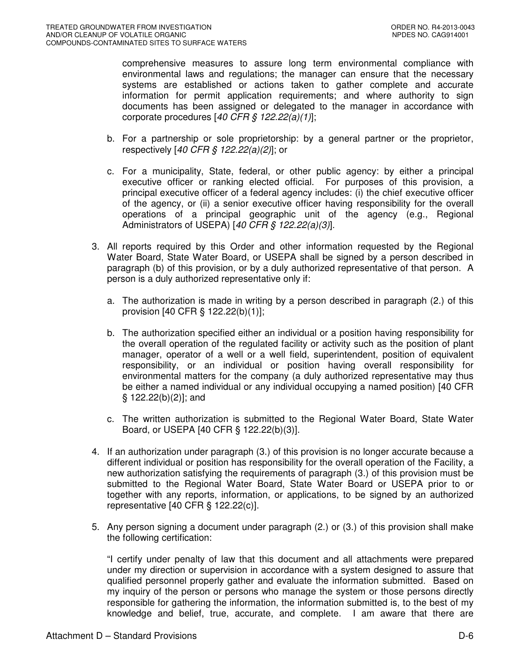comprehensive measures to assure long term environmental compliance with environmental laws and regulations; the manager can ensure that the necessary systems are established or actions taken to gather complete and accurate information for permit application requirements; and where authority to sign documents has been assigned or delegated to the manager in accordance with corporate procedures  $[40 \text{ CFR}$  §  $122.22(a)(1)]$ ;

- b. For a partnership or sole proprietorship: by a general partner or the proprietor, respectively [40 CFR § 122.22(a)(2)]; or
- c. For a municipality, State, federal, or other public agency: by either a principal executive officer or ranking elected official. For purposes of this provision, a principal executive officer of a federal agency includes: (i) the chief executive officer of the agency, or (ii) a senior executive officer having responsibility for the overall operations of a principal geographic unit of the agency (e.g., Regional Administrators of USEPA) [40 CFR  $\hat{S}$  122.22(a)(3)].
- 3. All reports required by this Order and other information requested by the Regional Water Board, State Water Board, or USEPA shall be signed by a person described in paragraph (b) of this provision, or by a duly authorized representative of that person. A person is a duly authorized representative only if:
	- a. The authorization is made in writing by a person described in paragraph (2.) of this provision [40 CFR § 122.22(b)(1)];
	- b. The authorization specified either an individual or a position having responsibility for the overall operation of the regulated facility or activity such as the position of plant manager, operator of a well or a well field, superintendent, position of equivalent responsibility, or an individual or position having overall responsibility for environmental matters for the company (a duly authorized representative may thus be either a named individual or any individual occupying a named position) [40 CFR § 122.22(b)(2)]; and
	- c. The written authorization is submitted to the Regional Water Board, State Water Board, or USEPA [40 CFR § 122.22(b)(3)].
- 4. If an authorization under paragraph (3.) of this provision is no longer accurate because a different individual or position has responsibility for the overall operation of the Facility, a new authorization satisfying the requirements of paragraph (3.) of this provision must be submitted to the Regional Water Board, State Water Board or USEPA prior to or together with any reports, information, or applications, to be signed by an authorized representative [40 CFR § 122.22(c)].
- 5. Any person signing a document under paragraph (2.) or (3.) of this provision shall make the following certification:

"I certify under penalty of law that this document and all attachments were prepared under my direction or supervision in accordance with a system designed to assure that qualified personnel properly gather and evaluate the information submitted. Based on my inquiry of the person or persons who manage the system or those persons directly responsible for gathering the information, the information submitted is, to the best of my knowledge and belief, true, accurate, and complete. I am aware that there are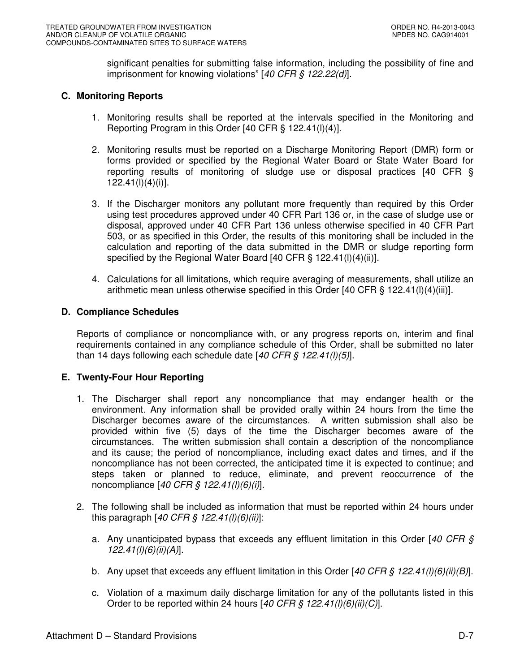significant penalties for submitting false information, including the possibility of fine and imprisonment for knowing violations" [40 CFR § 122.22(d)].

# **C. Monitoring Reports**

- 1. Monitoring results shall be reported at the intervals specified in the Monitoring and Reporting Program in this Order [40 CFR § 122.41(l)(4)].
- 2. Monitoring results must be reported on a Discharge Monitoring Report (DMR) form or forms provided or specified by the Regional Water Board or State Water Board for reporting results of monitoring of sludge use or disposal practices [40 CFR § 122.41(l)(4)(i)].
- 3. If the Discharger monitors any pollutant more frequently than required by this Order using test procedures approved under 40 CFR Part 136 or, in the case of sludge use or disposal, approved under 40 CFR Part 136 unless otherwise specified in 40 CFR Part 503, or as specified in this Order, the results of this monitoring shall be included in the calculation and reporting of the data submitted in the DMR or sludge reporting form specified by the Regional Water Board [40 CFR § 122.41(l)(4)(ii)].
- 4. Calculations for all limitations, which require averaging of measurements, shall utilize an arithmetic mean unless otherwise specified in this Order  $[40 \text{ CFR } \S 122.41 \text{ (I)}(4) \text{ (iii)}].$

## **D. Compliance Schedules**

Reports of compliance or noncompliance with, or any progress reports on, interim and final requirements contained in any compliance schedule of this Order, shall be submitted no later than 14 days following each schedule date  $[40 \text{ CFR} \text{ } \text{\textless} 122.41$ (I)(5)].

## **E. Twenty-Four Hour Reporting**

- 1. The Discharger shall report any noncompliance that may endanger health or the environment. Any information shall be provided orally within 24 hours from the time the Discharger becomes aware of the circumstances. A written submission shall also be provided within five (5) days of the time the Discharger becomes aware of the circumstances. The written submission shall contain a description of the noncompliance and its cause; the period of noncompliance, including exact dates and times, and if the noncompliance has not been corrected, the anticipated time it is expected to continue; and steps taken or planned to reduce, eliminate, and prevent reoccurrence of the noncompliance  $[40 \text{ CFR} \text{ } \text{\textit{S}} \text{ } 122.41 \text{ } I(l)(6)(i)].$
- 2. The following shall be included as information that must be reported within 24 hours under this paragraph  $[40 \text{ CFR } \frac{6}{5} \frac{122.41(l)(6)(ii)!}{.}$ 
	- a. Any unanticipated bypass that exceeds any effluent limitation in this Order [40 CFR  $\&$ 122.41(l)(6)(ii)(A)].
	- b. Any upset that exceeds any effluent limitation in this Order [40 CFR § 122.41(l)(6)(ii)(B)].
	- c. Violation of a maximum daily discharge limitation for any of the pollutants listed in this Order to be reported within 24 hours  $[40 \text{ CFR} \text{ } \text{\textit{S}} \text{ } 122.41 \text{ } I \text{ } I \text{ } 160 \text{ } I \text{ } 160 \text{ } I \text{ } 100 \text{ } I \text{ } 100 \text{ } I \text{ } 100 \text{ } I \text{ } 100 \text{ } I \text{ } 100 \text{ } I \text{ } 100 \text{ } I \text{ } 100 \text{ } I \text{ } 100 \text{ } I \text{ } 100 \text{$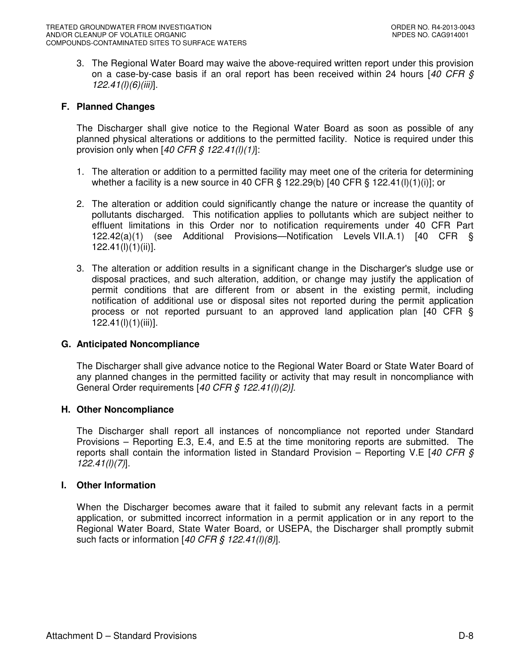3. The Regional Water Board may waive the above-required written report under this provision on a case-by-case basis if an oral report has been received within 24 hours  $[40 \text{ CFR } \text{S}$ 122.41(l)(6)(iii)].

#### **F. Planned Changes**

The Discharger shall give notice to the Regional Water Board as soon as possible of any planned physical alterations or additions to the permitted facility. Notice is required under this provision only when  $[40 \text{ CFR}$  \$  $122.41(l)(1)]$ :

- 1. The alteration or addition to a permitted facility may meet one of the criteria for determining whether a facility is a new source in 40 CFR § 122.29(b) [40 CFR § 122.41(l)(1)(i)]; or
- 2. The alteration or addition could significantly change the nature or increase the quantity of pollutants discharged. This notification applies to pollutants which are subject neither to effluent limitations in this Order nor to notification requirements under 40 CFR Part 122.42(a)(1) (see Additional Provisions—Notification Levels VII.A.1) [40 CFR § 122.41(l)(1)(ii)].
- 3. The alteration or addition results in a significant change in the Discharger's sludge use or disposal practices, and such alteration, addition, or change may justify the application of permit conditions that are different from or absent in the existing permit, including notification of additional use or disposal sites not reported during the permit application process or not reported pursuant to an approved land application plan [40 CFR § 122.41(l)(1)(iii)].

#### **G. Anticipated Noncompliance**

The Discharger shall give advance notice to the Regional Water Board or State Water Board of any planned changes in the permitted facility or activity that may result in noncompliance with General Order requirements [40 CFR § 122.41(l)(2)].

#### **H. Other Noncompliance**

The Discharger shall report all instances of noncompliance not reported under Standard Provisions – Reporting E.3, E.4, and E.5 at the time monitoring reports are submitted. The reports shall contain the information listed in Standard Provision – Reporting V.E [40 CFR  $\zeta$ 122.41(l)(7)].

#### **I. Other Information**

When the Discharger becomes aware that it failed to submit any relevant facts in a permit application, or submitted incorrect information in a permit application or in any report to the Regional Water Board, State Water Board, or USEPA, the Discharger shall promptly submit such facts or information  $[40 \text{ CFR} \text{ } \text{\textless} \text{\ss} \text{ } 122.41 \text{ } I \text{ } ]0/8]$ .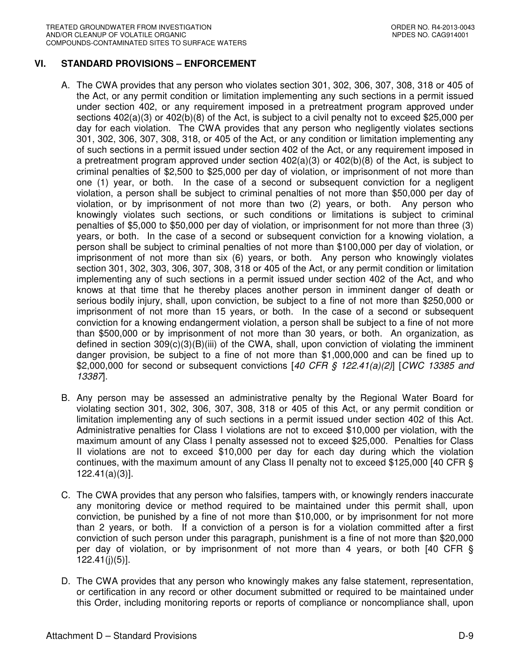## **VI. STANDARD PROVISIONS – ENFORCEMENT**

- A. The CWA provides that any person who violates section 301, 302, 306, 307, 308, 318 or 405 of the Act, or any permit condition or limitation implementing any such sections in a permit issued under section 402, or any requirement imposed in a pretreatment program approved under sections  $402(a)(3)$  or  $402(b)(8)$  of the Act, is subject to a civil penalty not to exceed \$25,000 per day for each violation. The CWA provides that any person who negligently violates sections 301, 302, 306, 307, 308, 318, or 405 of the Act, or any condition or limitation implementing any of such sections in a permit issued under section 402 of the Act, or any requirement imposed in a pretreatment program approved under section  $402(a)(3)$  or  $402(b)(8)$  of the Act, is subject to criminal penalties of \$2,500 to \$25,000 per day of violation, or imprisonment of not more than one (1) year, or both. In the case of a second or subsequent conviction for a negligent violation, a person shall be subject to criminal penalties of not more than \$50,000 per day of violation, or by imprisonment of not more than two (2) years, or both. Any person who knowingly violates such sections, or such conditions or limitations is subject to criminal penalties of \$5,000 to \$50,000 per day of violation, or imprisonment for not more than three (3) years, or both. In the case of a second or subsequent conviction for a knowing violation, a person shall be subject to criminal penalties of not more than \$100,000 per day of violation, or imprisonment of not more than six (6) years, or both. Any person who knowingly violates section 301, 302, 303, 306, 307, 308, 318 or 405 of the Act, or any permit condition or limitation implementing any of such sections in a permit issued under section 402 of the Act, and who knows at that time that he thereby places another person in imminent danger of death or serious bodily injury, shall, upon conviction, be subject to a fine of not more than \$250,000 or imprisonment of not more than 15 years, or both. In the case of a second or subsequent conviction for a knowing endangerment violation, a person shall be subject to a fine of not more than \$500,000 or by imprisonment of not more than 30 years, or both. An organization, as defined in section 309(c)(3)(B)(iii) of the CWA, shall, upon conviction of violating the imminent danger provision, be subject to a fine of not more than \$1,000,000 and can be fined up to \$2,000,000 for second or subsequent convictions  $[40 \text{ CFR} \text{ } \text{S} \text{ } 122.41(a)/2]$  [CWC 13385 and 13387].
- B. Any person may be assessed an administrative penalty by the Regional Water Board for violating section 301, 302, 306, 307, 308, 318 or 405 of this Act, or any permit condition or limitation implementing any of such sections in a permit issued under section 402 of this Act. Administrative penalties for Class I violations are not to exceed \$10,000 per violation, with the maximum amount of any Class I penalty assessed not to exceed \$25,000. Penalties for Class II violations are not to exceed \$10,000 per day for each day during which the violation continues, with the maximum amount of any Class II penalty not to exceed \$125,000 [40 CFR § 122.41(a)(3)].
- C. The CWA provides that any person who falsifies, tampers with, or knowingly renders inaccurate any monitoring device or method required to be maintained under this permit shall, upon conviction, be punished by a fine of not more than \$10,000, or by imprisonment for not more than 2 years, or both. If a conviction of a person is for a violation committed after a first conviction of such person under this paragraph, punishment is a fine of not more than \$20,000 per day of violation, or by imprisonment of not more than 4 years, or both [40 CFR § 122.41(j)(5)].
- D. The CWA provides that any person who knowingly makes any false statement, representation, or certification in any record or other document submitted or required to be maintained under this Order, including monitoring reports or reports of compliance or noncompliance shall, upon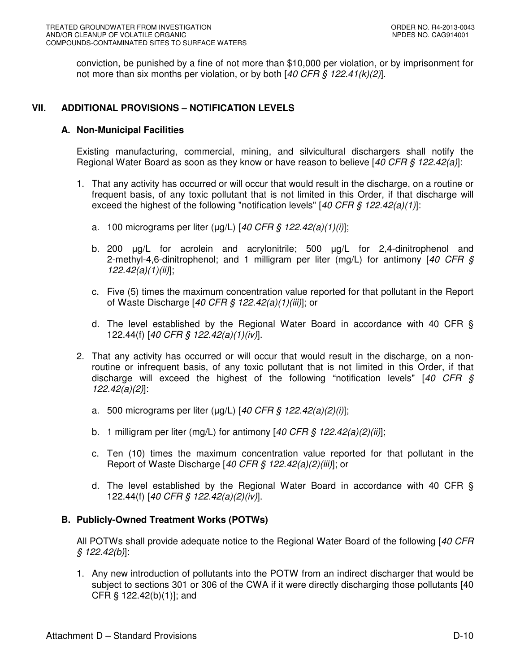conviction, be punished by a fine of not more than \$10,000 per violation, or by imprisonment for not more than six months per violation, or by both  $[40 \text{ CFR } 8 \text{ 122.41(k)}/2]$ .

## **VII. ADDITIONAL PROVISIONS – NOTIFICATION LEVELS**

#### **A. Non-Municipal Facilities**

Existing manufacturing, commercial, mining, and silvicultural dischargers shall notify the Regional Water Board as soon as they know or have reason to believe [40 CFR  $\frac{6}{7}$  122.42(a)]:

- 1. That any activity has occurred or will occur that would result in the discharge, on a routine or frequent basis, of any toxic pollutant that is not limited in this Order, if that discharge will exceed the highest of the following "notification levels"  $[40 \text{ CFR } \frac{6}{9} \frac{122.42(a)(1)}{1}]$ :
	- a. 100 micrograms per liter ( $\mu$ g/L) [40 CFR § 122.42(a)(1)(i)];
	- b. 200 µg/L for acrolein and acrylonitrile; 500 µg/L for 2,4-dinitrophenol and 2-methyl-4,6-dinitrophenol; and 1 milligram per liter (mg/L) for antimony [40 CFR  $\zeta$  $122.42(a)(1)(ii)$ ;
	- c. Five (5) times the maximum concentration value reported for that pollutant in the Report of Waste Discharge [40 CFR § 122.42(a)(1)(iii)]; or
	- d. The level established by the Regional Water Board in accordance with 40 CFR § 122.44(f) [40 CFR § 122.42(a)(1)(iv)].
- 2. That any activity has occurred or will occur that would result in the discharge, on a nonroutine or infrequent basis, of any toxic pollutant that is not limited in this Order, if that discharge will exceed the highest of the following "notification levels"  $[40 \text{ CFR } \text{S}$ 122.42(a)(2)]:
	- a. 500 micrograms per liter ( $\mu$ g/L) [40 CFR § 122.42(a)(2)(i)];
	- b. 1 milligram per liter (mg/L) for antimony  $[40 \text{ CFR} \text{ } \text{\&} 122.42(a)(2)(ii)]$ ;
	- c. Ten (10) times the maximum concentration value reported for that pollutant in the Report of Waste Discharge [40 CFR  $\hat{S}$  122.42(a)(2)(iii)]; or
	- d. The level established by the Regional Water Board in accordance with 40 CFR § 122.44(f) [40 CFR § 122.42(a)(2)(iv)].

## **B. Publicly-Owned Treatment Works (POTWs)**

All POTWs shall provide adequate notice to the Regional Water Board of the following [40 CFR]  $§ 122.42(b)$ :

1. Any new introduction of pollutants into the POTW from an indirect discharger that would be subject to sections 301 or 306 of the CWA if it were directly discharging those pollutants [40 CFR § 122.42(b)(1)]; and